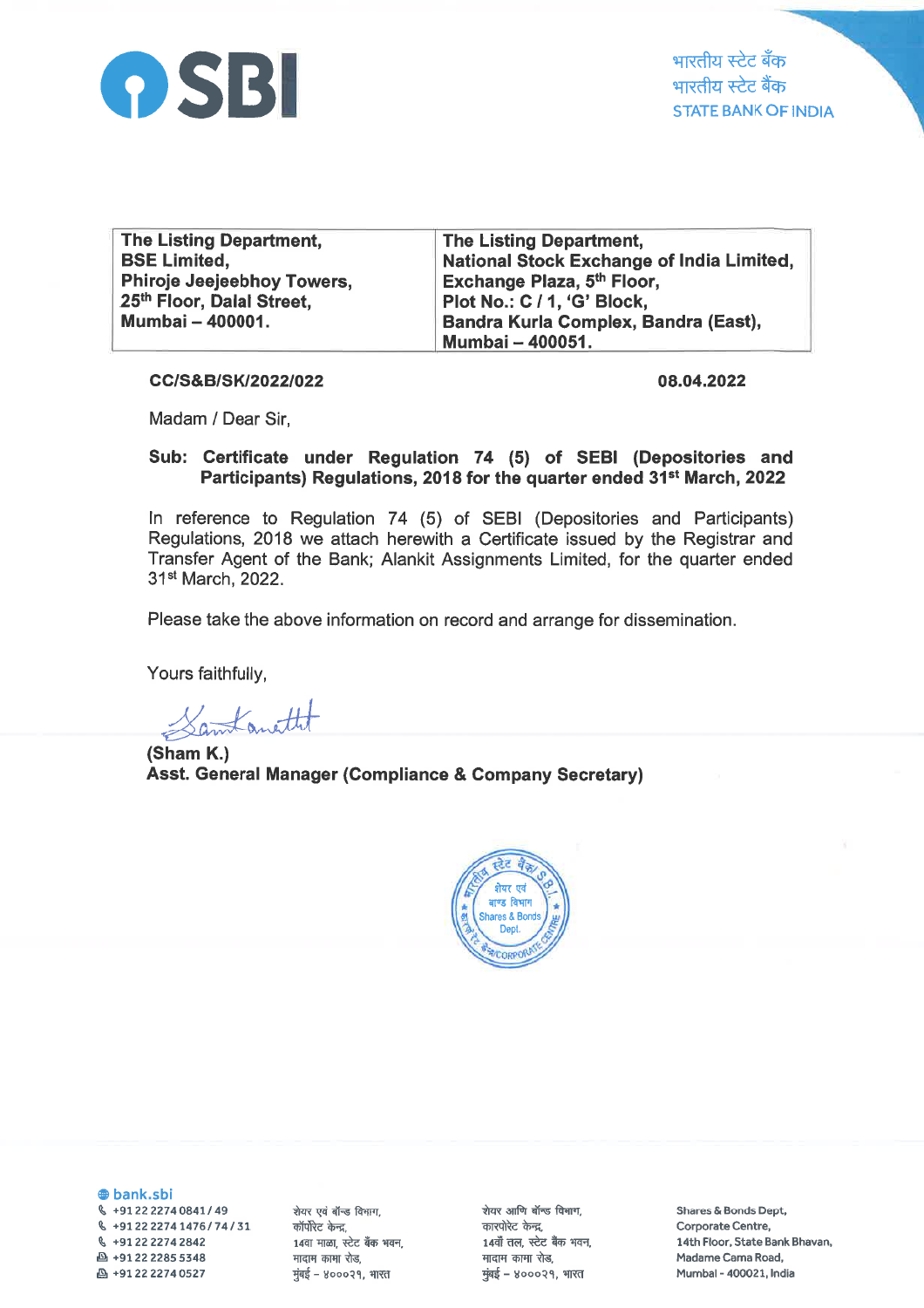

| <b>The Listing Department,</b>    | <b>The Listing Department,</b>            |
|-----------------------------------|-------------------------------------------|
| <b>BSE Limited,</b>               | National Stock Exchange of India Limited, |
| <b>Phiroje Jeejeebhoy Towers,</b> | Exchange Plaza, 5th Floor,                |
| 25th Floor, Dalal Street,         | Plot No.: C / 1, 'G' Block,               |
| Mumbai - 400001.                  | Bandra Kurla Complex, Bandra (East),      |
|                                   | Mumbai - 400051.                          |

CC/S&B/SK/2022/022

08.04.2022

Madam / Dear Sir,

## Sub: Certificate under Regulation 74 (5) of SEBI (Depositories and Participants) Regulations, 2018 for the quarter ended 31<sup>st</sup> March, 2022

ln reference to Regulation 74 (5) of SEBI (Depositories and Participants) Regulations, 2018 we attach herewith a Certificate issued by the Registrar and Transfer Agent of the Bank; Alankit Assignments Limited, for the quarter ended 31st March,2022.

Please take the above information on record and arrange for dissemination.

Yours faithfully,

Samtanettet

(Sham K.) Asst. General Manager (Compliance & Company Secretary)



@ bank.sbi g +91222274Oa41149  $\frac{6}{5}$  +91 22 2274 1476 / 74 / 31 \, +912222742842  $\text{A}$  +91 22 2285 5348 E +9L2222740527

शेयर एवं बॉन्ड विभाग, कॉर्पोरेट केन्द्र, 14वा माळा, स्टेट बँक भवन, मादाम कामा रोड,  $\frac{1}{2}$ मुंबई - ४०००२१, भारत

शेयर आणि बॉन्ड विभाग, कारपोरेट केन्द्र. 14वाँ तल, स्टेट बैंक भवन, मादाम कामा रोड.  $\frac{1}{2}$ मुंबई – ४०००२१, भारत

Shares & Bonds Dept, Corporate Centre, 14th Floor, State Bank Bhavan, Madame Cama Road, Mumbal - 400021, lndia